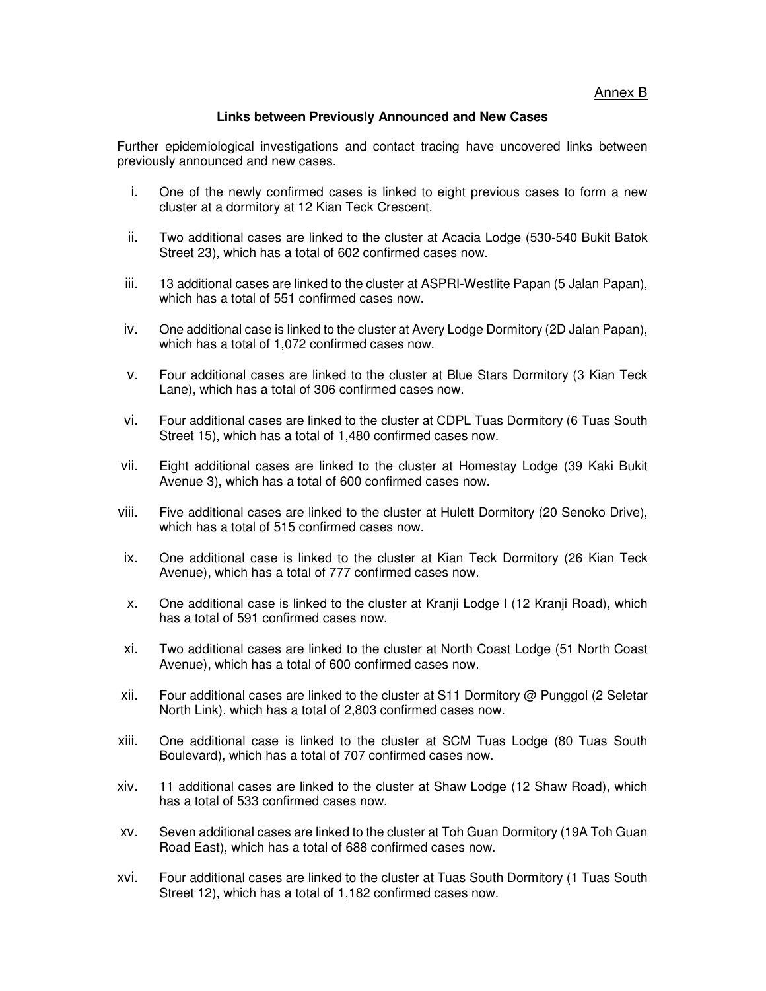Annex B

## **Links between Previously Announced and New Cases**

Further epidemiological investigations and contact tracing have uncovered links between previously announced and new cases.

- i. One of the newly confirmed cases is linked to eight previous cases to form a new cluster at a dormitory at 12 Kian Teck Crescent.
- ii. Two additional cases are linked to the cluster at Acacia Lodge (530-540 Bukit Batok Street 23), which has a total of 602 confirmed cases now.
- iii. 13 additional cases are linked to the cluster at ASPRI-Westlite Papan (5 Jalan Papan), which has a total of 551 confirmed cases now.
- iv. One additional case is linked to the cluster at Avery Lodge Dormitory (2D Jalan Papan), which has a total of 1,072 confirmed cases now.
- v. Four additional cases are linked to the cluster at Blue Stars Dormitory (3 Kian Teck Lane), which has a total of 306 confirmed cases now.
- vi. Four additional cases are linked to the cluster at CDPL Tuas Dormitory (6 Tuas South Street 15), which has a total of 1,480 confirmed cases now.
- vii. Eight additional cases are linked to the cluster at Homestay Lodge (39 Kaki Bukit Avenue 3), which has a total of 600 confirmed cases now.
- viii. Five additional cases are linked to the cluster at Hulett Dormitory (20 Senoko Drive), which has a total of 515 confirmed cases now.
- ix. One additional case is linked to the cluster at Kian Teck Dormitory (26 Kian Teck Avenue), which has a total of 777 confirmed cases now.
- x. One additional case is linked to the cluster at Kranji Lodge I (12 Kranji Road), which has a total of 591 confirmed cases now.
- xi. Two additional cases are linked to the cluster at North Coast Lodge (51 North Coast Avenue), which has a total of 600 confirmed cases now.
- xii. Four additional cases are linked to the cluster at S11 Dormitory @ Punggol (2 Seletar North Link), which has a total of 2,803 confirmed cases now.
- xiii. One additional case is linked to the cluster at SCM Tuas Lodge (80 Tuas South Boulevard), which has a total of 707 confirmed cases now.
- xiv. 11 additional cases are linked to the cluster at Shaw Lodge (12 Shaw Road), which has a total of 533 confirmed cases now.
- xv. Seven additional cases are linked to the cluster at Toh Guan Dormitory (19A Toh Guan Road East), which has a total of 688 confirmed cases now.
- xvi. Four additional cases are linked to the cluster at Tuas South Dormitory (1 Tuas South Street 12), which has a total of 1,182 confirmed cases now.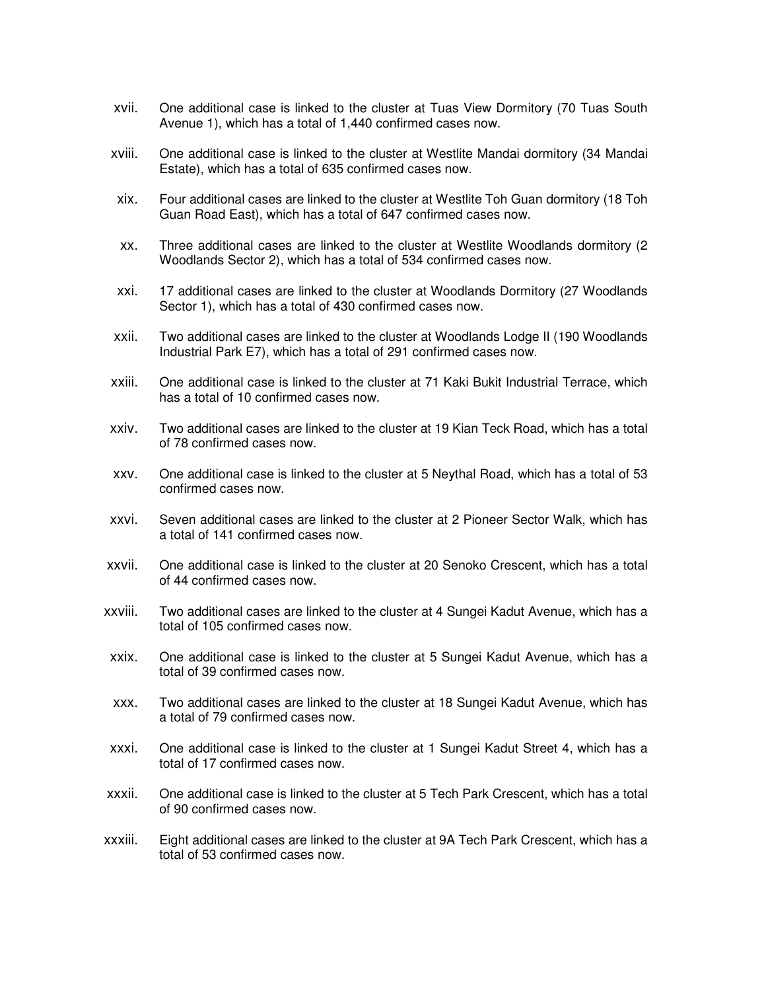- xvii. One additional case is linked to the cluster at Tuas View Dormitory (70 Tuas South Avenue 1), which has a total of 1,440 confirmed cases now.
- xviii. One additional case is linked to the cluster at Westlite Mandai dormitory (34 Mandai Estate), which has a total of 635 confirmed cases now.
- xix. Four additional cases are linked to the cluster at Westlite Toh Guan dormitory (18 Toh Guan Road East), which has a total of 647 confirmed cases now.
- xx. Three additional cases are linked to the cluster at Westlite Woodlands dormitory (2 Woodlands Sector 2), which has a total of 534 confirmed cases now.
- xxi. 17 additional cases are linked to the cluster at Woodlands Dormitory (27 Woodlands Sector 1), which has a total of 430 confirmed cases now.
- xxii. Two additional cases are linked to the cluster at Woodlands Lodge II (190 Woodlands Industrial Park E7), which has a total of 291 confirmed cases now.
- xxiii. One additional case is linked to the cluster at 71 Kaki Bukit Industrial Terrace, which has a total of 10 confirmed cases now.
- xxiv. Two additional cases are linked to the cluster at 19 Kian Teck Road, which has a total of 78 confirmed cases now.
- xxv. One additional case is linked to the cluster at 5 Neythal Road, which has a total of 53 confirmed cases now.
- xxvi. Seven additional cases are linked to the cluster at 2 Pioneer Sector Walk, which has a total of 141 confirmed cases now.
- xxvii. One additional case is linked to the cluster at 20 Senoko Crescent, which has a total of 44 confirmed cases now.
- xxviii. Two additional cases are linked to the cluster at 4 Sungei Kadut Avenue, which has a total of 105 confirmed cases now.
- xxix. One additional case is linked to the cluster at 5 Sungei Kadut Avenue, which has a total of 39 confirmed cases now.
- xxx. Two additional cases are linked to the cluster at 18 Sungei Kadut Avenue, which has a total of 79 confirmed cases now.
- xxxi. One additional case is linked to the cluster at 1 Sungei Kadut Street 4, which has a total of 17 confirmed cases now.
- xxxii. One additional case is linked to the cluster at 5 Tech Park Crescent, which has a total of 90 confirmed cases now.
- xxxiii. Eight additional cases are linked to the cluster at 9A Tech Park Crescent, which has a total of 53 confirmed cases now.